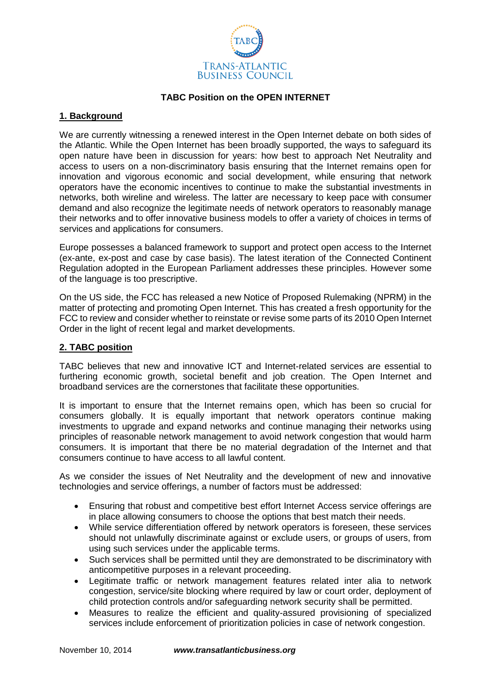

## **TABC Position on the OPEN INTERNET**

## **1. Background**

We are currently witnessing a renewed interest in the Open Internet debate on both sides of the Atlantic. While the Open Internet has been broadly supported, the ways to safeguard its open nature have been in discussion for years: how best to approach Net Neutrality and access to users on a non-discriminatory basis ensuring that the Internet remains open for innovation and vigorous economic and social development, while ensuring that network operators have the economic incentives to continue to make the substantial investments in networks, both wireline and wireless. The latter are necessary to keep pace with consumer demand and also recognize the legitimate needs of network operators to reasonably manage their networks and to offer innovative business models to offer a variety of choices in terms of services and applications for consumers.

Europe possesses a balanced framework to support and protect open access to the Internet (ex-ante, ex-post and case by case basis). The latest iteration of the Connected Continent Regulation adopted in the European Parliament addresses these principles. However some of the language is too prescriptive.

On the US side, the FCC has released a new Notice of Proposed Rulemaking (NPRM) in the matter of protecting and promoting Open Internet. This has created a fresh opportunity for the FCC to review and consider whether to reinstate or revise some parts of its 2010 Open Internet Order in the light of recent legal and market developments.

## **2. TABC position**

TABC believes that new and innovative ICT and Internet-related services are essential to furthering economic growth, societal benefit and job creation. The Open Internet and broadband services are the cornerstones that facilitate these opportunities.

It is important to ensure that the Internet remains open, which has been so crucial for consumers globally. It is equally important that network operators continue making investments to upgrade and expand networks and continue managing their networks using principles of reasonable network management to avoid network congestion that would harm consumers. It is important that there be no material degradation of the Internet and that consumers continue to have access to all lawful content.

As we consider the issues of Net Neutrality and the development of new and innovative technologies and service offerings, a number of factors must be addressed:

- Ensuring that robust and competitive best effort Internet Access service offerings are in place allowing consumers to choose the options that best match their needs.
- While service differentiation offered by network operators is foreseen, these services should not unlawfully discriminate against or exclude users, or groups of users, from using such services under the applicable terms.
- Such services shall be permitted until they are demonstrated to be discriminatory with anticompetitive purposes in a relevant proceeding.
- Legitimate traffic or network management features related inter alia to network congestion, service/site blocking where required by law or court order, deployment of child protection controls and/or safeguarding network security shall be permitted.
- Measures to realize the efficient and quality-assured provisioning of specialized services include enforcement of prioritization policies in case of network congestion.